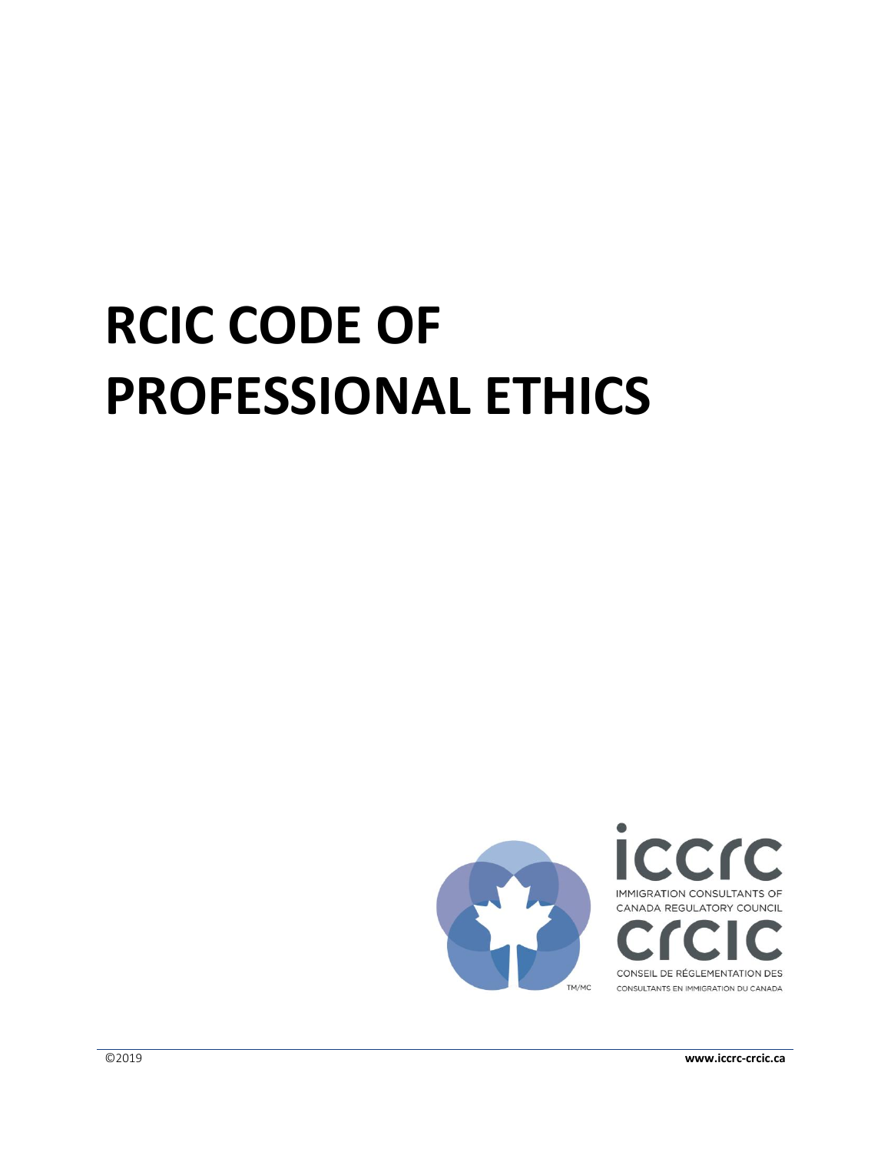# **RCIC CODE OF PROFESSIONAL ETHICS**



©2019 **www.iccrc-crcic.ca**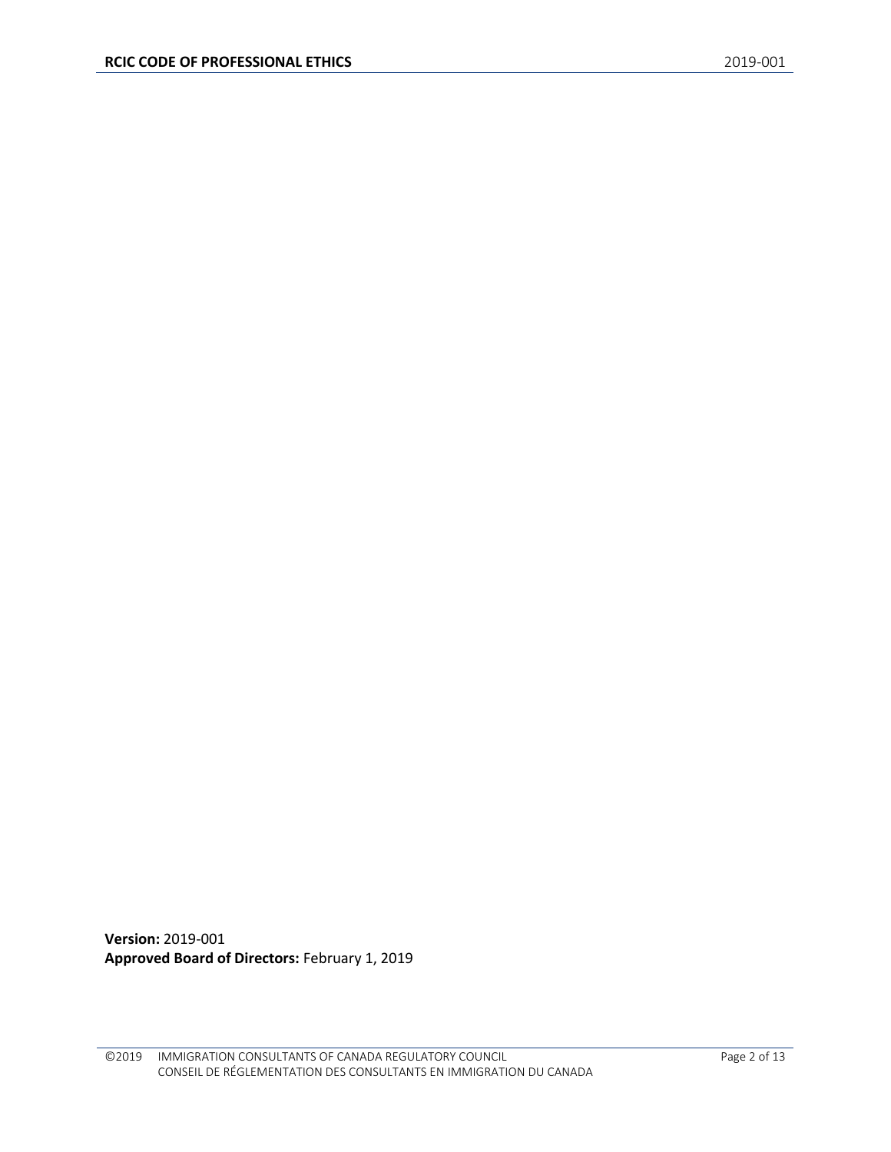**Version:** 2019-001 **Approved Board of Directors:** February 1, 2019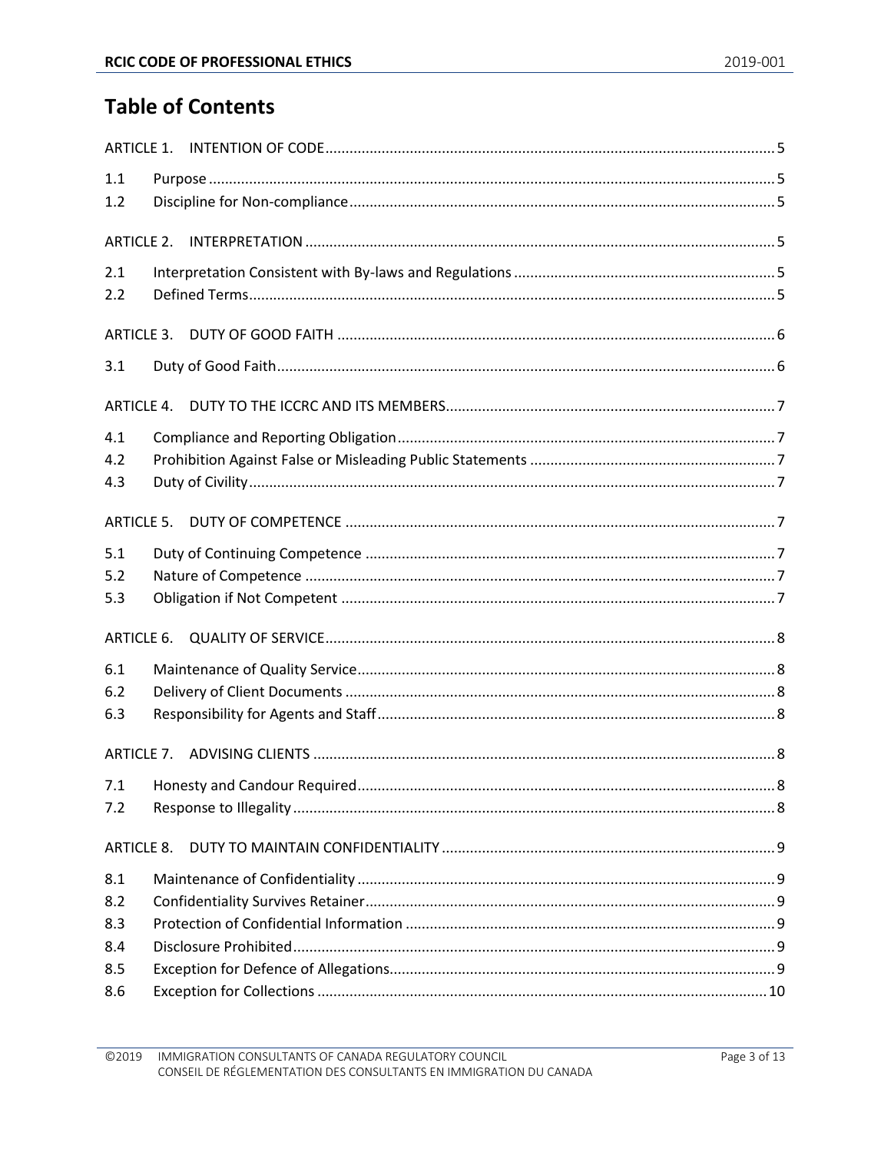# **Table of Contents**

| 1.1               |  |  |  |
|-------------------|--|--|--|
| 1.2               |  |  |  |
|                   |  |  |  |
|                   |  |  |  |
| 2.1               |  |  |  |
| 2.2               |  |  |  |
| ARTICLE 3.        |  |  |  |
| 3.1               |  |  |  |
|                   |  |  |  |
| 4.1               |  |  |  |
| 4.2               |  |  |  |
| 4.3               |  |  |  |
| <b>ARTICLE 5.</b> |  |  |  |
| 5.1               |  |  |  |
| 5.2               |  |  |  |
| 5.3               |  |  |  |
| ARTICLE 6.        |  |  |  |
| 6.1               |  |  |  |
| 6.2               |  |  |  |
| 6.3               |  |  |  |
|                   |  |  |  |
| 7.1               |  |  |  |
| 7.2               |  |  |  |
| ARTICLE 8.        |  |  |  |
| 8.1               |  |  |  |
| 8.2               |  |  |  |
| 8.3               |  |  |  |
| 8.4               |  |  |  |
| 8.5               |  |  |  |
| 8.6               |  |  |  |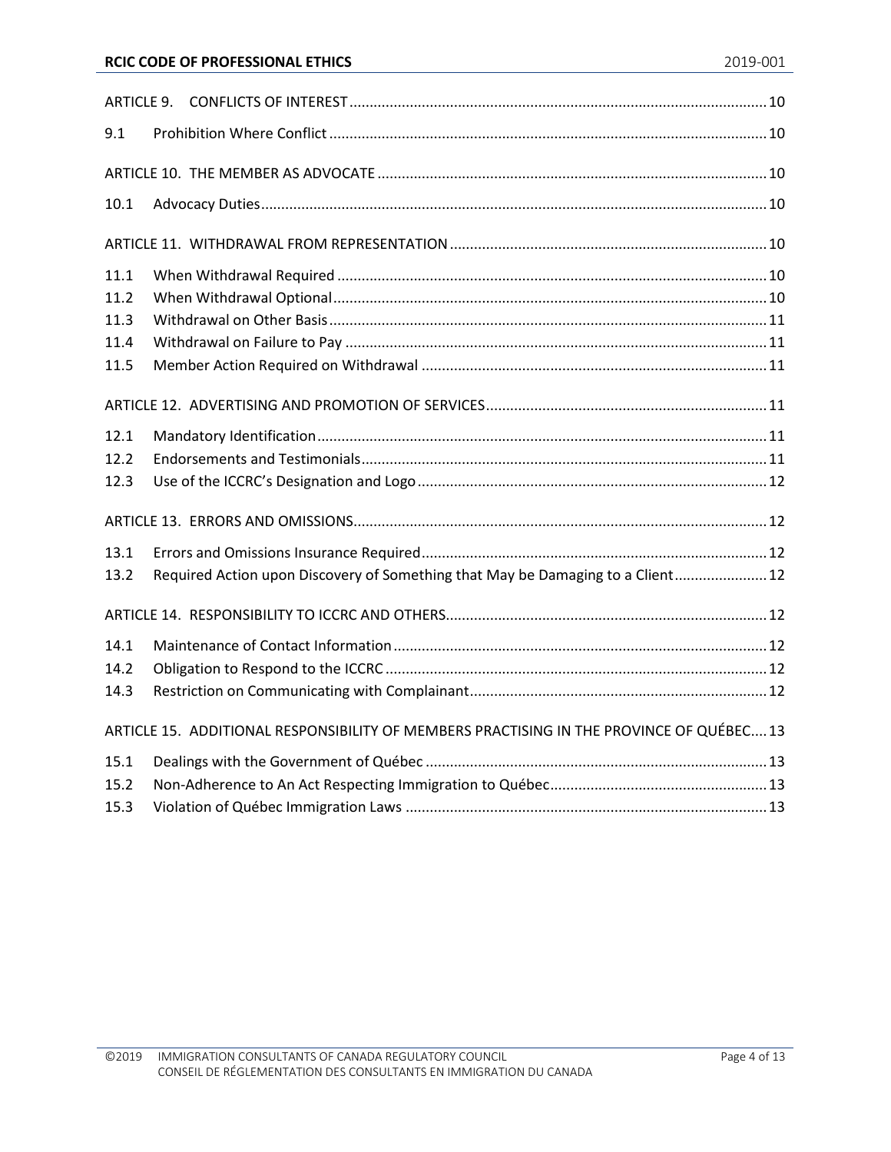| 9.1  |                                                                                          |  |  |  |  |
|------|------------------------------------------------------------------------------------------|--|--|--|--|
|      |                                                                                          |  |  |  |  |
| 10.1 |                                                                                          |  |  |  |  |
|      |                                                                                          |  |  |  |  |
| 11.1 |                                                                                          |  |  |  |  |
| 11.2 |                                                                                          |  |  |  |  |
| 11.3 |                                                                                          |  |  |  |  |
| 11.4 |                                                                                          |  |  |  |  |
| 11.5 |                                                                                          |  |  |  |  |
|      |                                                                                          |  |  |  |  |
| 12.1 |                                                                                          |  |  |  |  |
| 12.2 |                                                                                          |  |  |  |  |
| 12.3 |                                                                                          |  |  |  |  |
|      |                                                                                          |  |  |  |  |
| 13.1 |                                                                                          |  |  |  |  |
| 13.2 | Required Action upon Discovery of Something that May be Damaging to a Client 12          |  |  |  |  |
|      |                                                                                          |  |  |  |  |
| 14.1 |                                                                                          |  |  |  |  |
| 14.2 |                                                                                          |  |  |  |  |
| 14.3 |                                                                                          |  |  |  |  |
|      | ARTICLE 15. ADDITIONAL RESPONSIBILITY OF MEMBERS PRACTISING IN THE PROVINCE OF QUÉBEC 13 |  |  |  |  |
| 15.1 |                                                                                          |  |  |  |  |
| 15.2 |                                                                                          |  |  |  |  |
| 15.3 |                                                                                          |  |  |  |  |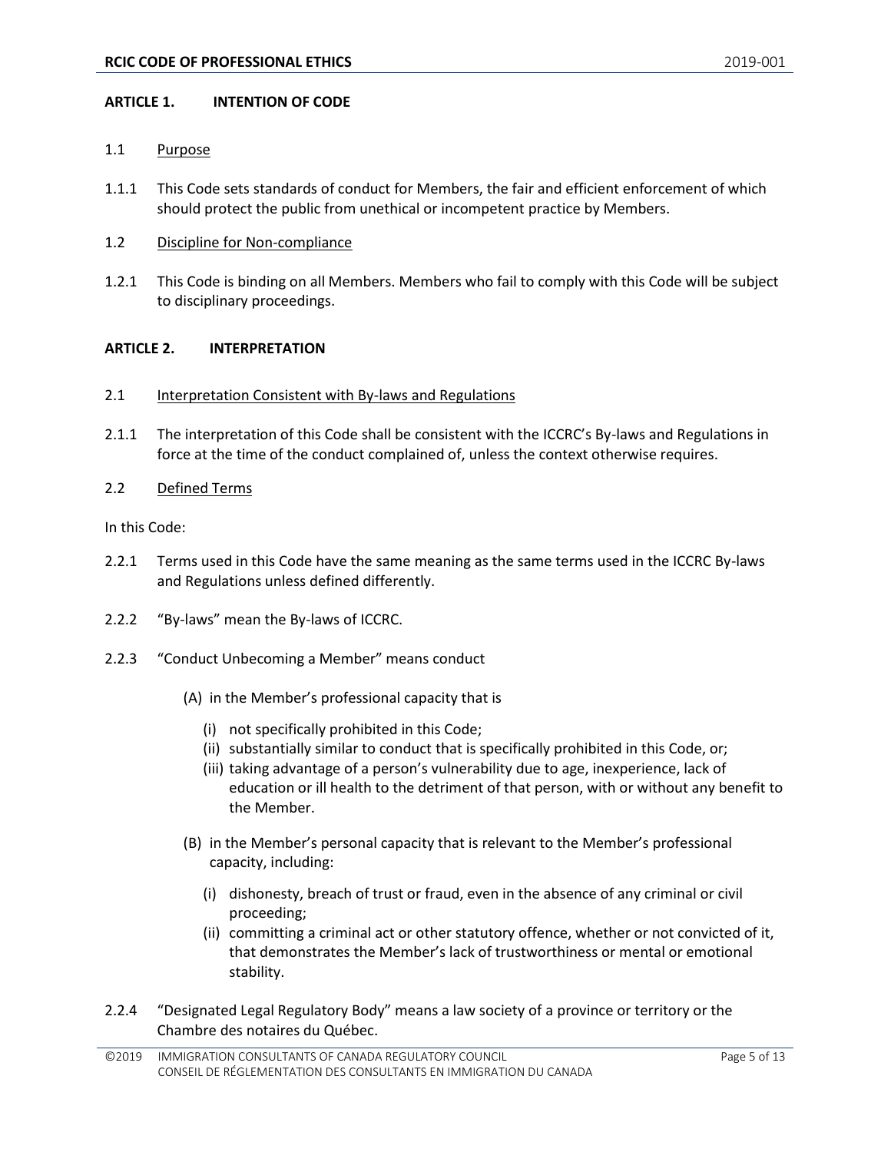#### <span id="page-4-0"></span>**ARTICLE 1. INTENTION OF CODE**

#### <span id="page-4-1"></span>1.1 Purpose

- 1.1.1 This Code sets standards of conduct for Members, the fair and efficient enforcement of which should protect the public from unethical or incompetent practice by Members.
- <span id="page-4-2"></span>1.2 Discipline for Non-compliance
- 1.2.1 This Code is binding on all Members. Members who fail to comply with this Code will be subject to disciplinary proceedings.

# <span id="page-4-3"></span>**ARTICLE 2. INTERPRETATION**

- <span id="page-4-4"></span>2.1 Interpretation Consistent with By-laws and Regulations
- 2.1.1 The interpretation of this Code shall be consistent with the ICCRC's By-laws and Regulations in force at the time of the conduct complained of, unless the context otherwise requires.
- <span id="page-4-5"></span>2.2 Defined Terms

In this Code:

- 2.2.1 Terms used in this Code have the same meaning as the same terms used in the ICCRC By-laws and Regulations unless defined differently.
- 2.2.2 "By-laws" mean the By-laws of ICCRC.
- 2.2.3 "Conduct Unbecoming a Member" means conduct
	- (A) in the Member's professional capacity that is
		- (i) not specifically prohibited in this Code;
		- (ii) substantially similar to conduct that is specifically prohibited in this Code, or;
		- (iii) taking advantage of a person's vulnerability due to age, inexperience, lack of education or ill health to the detriment of that person, with or without any benefit to the Member.
	- (B) in the Member's personal capacity that is relevant to the Member's professional capacity, including:
		- (i) dishonesty, breach of trust or fraud, even in the absence of any criminal or civil proceeding;
		- (ii) committing a criminal act or other statutory offence, whether or not convicted of it, that demonstrates the Member's lack of trustworthiness or mental or emotional stability.
- 2.2.4 "Designated Legal Regulatory Body" means a law society of a province or territory or the Chambre des notaires du Québec.

<sup>©2019</sup> IMMIGRATION CONSULTANTS OF CANADA REGULATORY COUNCIL CONSEIL DE RÉGLEMENTATION DES CONSULTANTS EN IMMIGRATION DU CANADA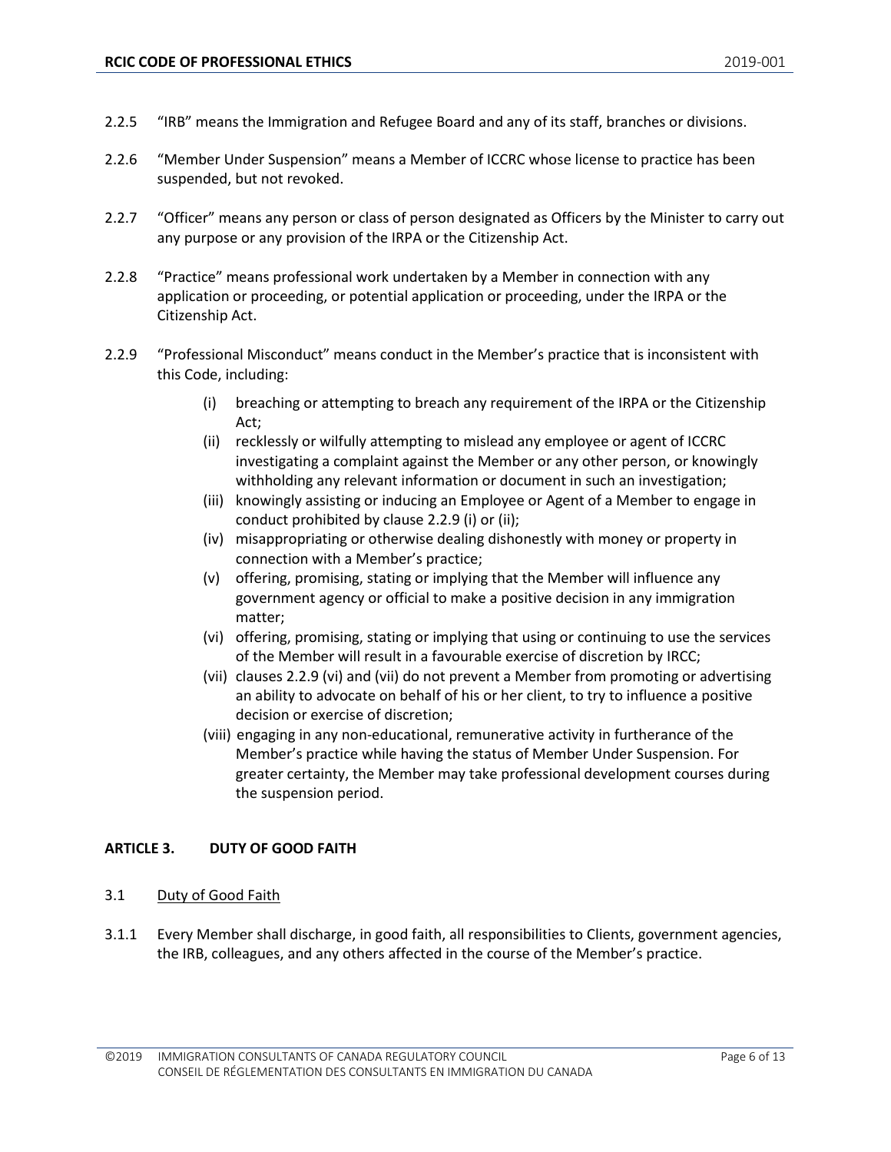- 2.2.5 "IRB" means the Immigration and Refugee Board and any of its staff, branches or divisions.
- 2.2.6 "Member Under Suspension" means a Member of ICCRC whose license to practice has been suspended, but not revoked.
- 2.2.7 "Officer" means any person or class of person designated as Officers by the Minister to carry out any purpose or any provision of the IRPA or the Citizenship Act.
- 2.2.8 "Practice" means professional work undertaken by a Member in connection with any application or proceeding, or potential application or proceeding, under the IRPA or the Citizenship Act.
- 2.2.9 "Professional Misconduct" means conduct in the Member's practice that is inconsistent with this Code, including:
	- (i) breaching or attempting to breach any requirement of the IRPA or the Citizenship Act;
	- (ii) recklessly or wilfully attempting to mislead any employee or agent of ICCRC investigating a complaint against the Member or any other person, or knowingly withholding any relevant information or document in such an investigation;
	- (iii) knowingly assisting or inducing an Employee or Agent of a Member to engage in conduct prohibited by clause 2.2.9 (i) or (ii);
	- (iv) misappropriating or otherwise dealing dishonestly with money or property in connection with a Member's practice;
	- (v) offering, promising, stating or implying that the Member will influence any government agency or official to make a positive decision in any immigration matter;
	- (vi) offering, promising, stating or implying that using or continuing to use the services of the Member will result in a favourable exercise of discretion by IRCC;
	- (vii) clauses 2.2.9 (vi) and (vii) do not prevent a Member from promoting or advertising an ability to advocate on behalf of his or her client, to try to influence a positive decision or exercise of discretion;
	- (viii) engaging in any non-educational, remunerative activity in furtherance of the Member's practice while having the status of Member Under Suspension. For greater certainty, the Member may take professional development courses during the suspension period.

# <span id="page-5-0"></span>**ARTICLE 3. DUTY OF GOOD FAITH**

#### <span id="page-5-1"></span>3.1 Duty of Good Faith

3.1.1 Every Member shall discharge, in good faith, all responsibilities to Clients, government agencies, the IRB, colleagues, and any others affected in the course of the Member's practice.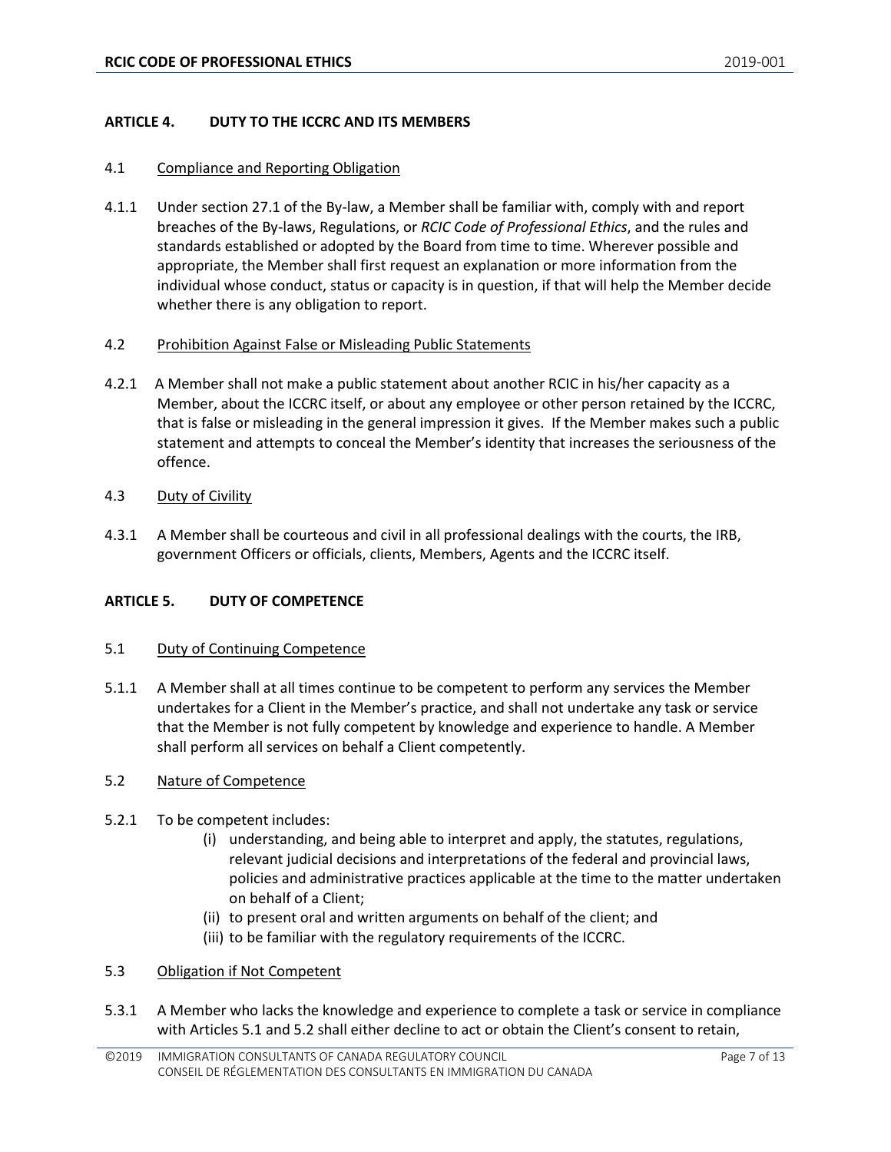# <span id="page-6-0"></span>**ARTICLE 4. DUTY TO THE ICCRC AND ITS MEMBERS**

#### <span id="page-6-1"></span>4.1 Compliance and Reporting Obligation

4.1.1 Under section 27.1 of the By-law, a Member shall be familiar with, comply with and report breaches of the By-laws, Regulations, or *RCIC Code of Professional Ethics*, and the rules and standards established or adopted by the Board from time to time. Wherever possible and appropriate, the Member shall first request an explanation or more information from the individual whose conduct, status or capacity is in question, if that will help the Member decide whether there is any obligation to report.

#### <span id="page-6-2"></span>4.2 Prohibition Against False or Misleading Public Statements

- 4.2.1 A Member shall not make a public statement about another RCIC in his/her capacity as a Member, about the ICCRC itself, or about any employee or other person retained by the ICCRC, that is false or misleading in the general impression it gives. If the Member makes such a public statement and attempts to conceal the Member's identity that increases the seriousness of the offence.
- <span id="page-6-3"></span>4.3 Duty of Civility
- 4.3.1 A Member shall be courteous and civil in all professional dealings with the courts, the IRB, government Officers or officials, clients, Members, Agents and the ICCRC itself.

#### <span id="page-6-4"></span>**ARTICLE 5. DUTY OF COMPETENCE**

#### <span id="page-6-5"></span>5.1 Duty of Continuing Competence

5.1.1 A Member shall at all times continue to be competent to perform any services the Member undertakes for a Client in the Member's practice, and shall not undertake any task or service that the Member is not fully competent by knowledge and experience to handle. A Member shall perform all services on behalf a Client competently.

#### <span id="page-6-6"></span>5.2 Nature of Competence

- 5.2.1 To be competent includes:
	- (i) understanding, and being able to interpret and apply, the statutes, regulations, relevant judicial decisions and interpretations of the federal and provincial laws, policies and administrative practices applicable at the time to the matter undertaken on behalf of a Client;
	- (ii) to present oral and written arguments on behalf of the client; and
	- (iii) to be familiar with the regulatory requirements of the ICCRC.

#### <span id="page-6-7"></span>5.3 Obligation if Not Competent

5.3.1 A Member who lacks the knowledge and experience to complete a task or service in compliance with Articles 5.1 and 5.2 shall either decline to act or obtain the Client's consent to retain,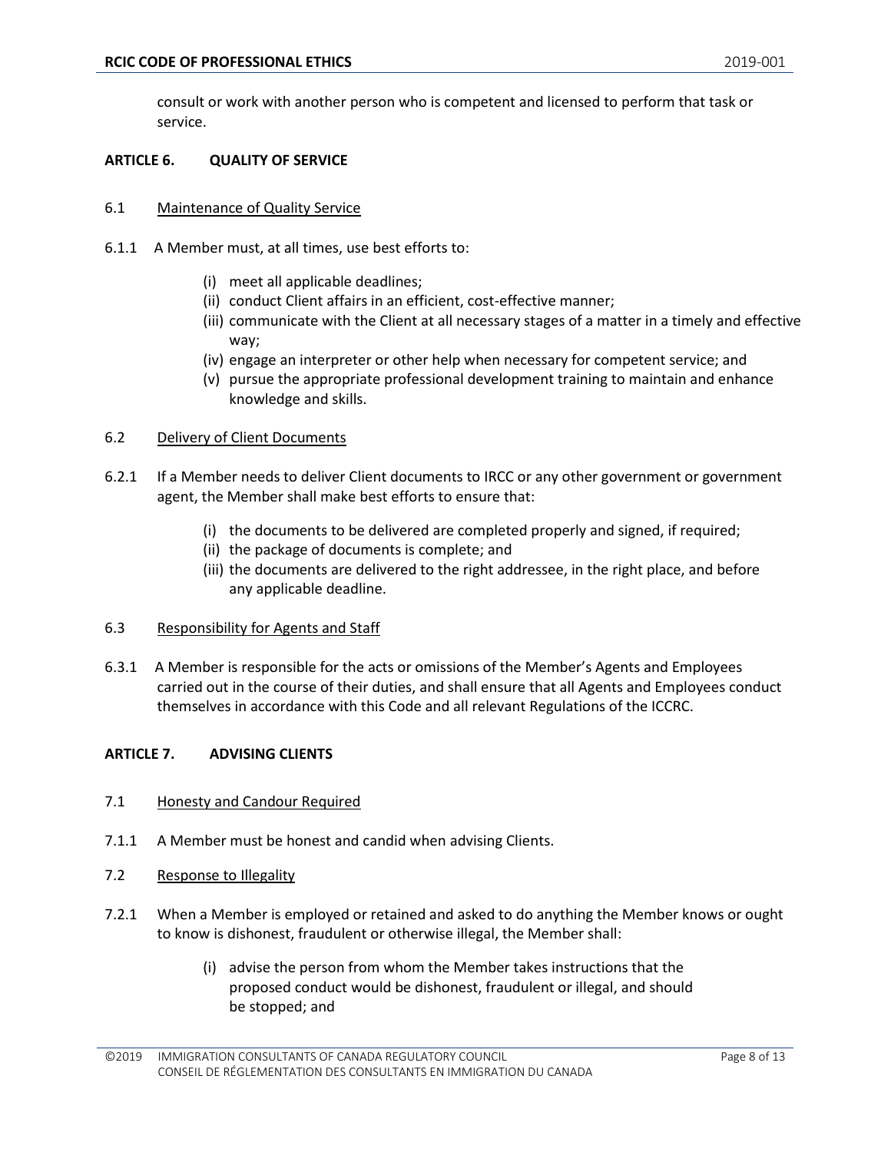consult or work with another person who is competent and licensed to perform that task or service.

#### <span id="page-7-0"></span>**ARTICLE 6. QUALITY OF SERVICE**

- <span id="page-7-1"></span>6.1 Maintenance of Quality Service
- 6.1.1 A Member must, at all times, use best efforts to:
	- (i) meet all applicable deadlines;
	- (ii) conduct Client affairs in an efficient, cost-effective manner;
	- (iii) communicate with the Client at all necessary stages of a matter in a timely and effective way;
	- (iv) engage an interpreter or other help when necessary for competent service; and
	- (v) pursue the appropriate professional development training to maintain and enhance knowledge and skills.

#### <span id="page-7-2"></span>6.2 Delivery of Client Documents

- 6.2.1 If a Member needs to deliver Client documents to IRCC or any other government or government agent, the Member shall make best efforts to ensure that:
	- (i) the documents to be delivered are completed properly and signed, if required;
	- (ii) the package of documents is complete; and
	- (iii) the documents are delivered to the right addressee, in the right place, and before any applicable deadline.

#### <span id="page-7-3"></span>6.3 Responsibility for Agents and Staff

6.3.1 A Member is responsible for the acts or omissions of the Member's Agents and Employees carried out in the course of their duties, and shall ensure that all Agents and Employees conduct themselves in accordance with this Code and all relevant Regulations of the ICCRC.

#### <span id="page-7-4"></span>**ARTICLE 7. ADVISING CLIENTS**

- <span id="page-7-5"></span>7.1 Honesty and Candour Required
- 7.1.1 A Member must be honest and candid when advising Clients.
- <span id="page-7-6"></span>7.2 Response to Illegality
- 7.2.1 When a Member is employed or retained and asked to do anything the Member knows or ought to know is dishonest, fraudulent or otherwise illegal, the Member shall:
	- (i) advise the person from whom the Member takes instructions that the proposed conduct would be dishonest, fraudulent or illegal, and should be stopped; and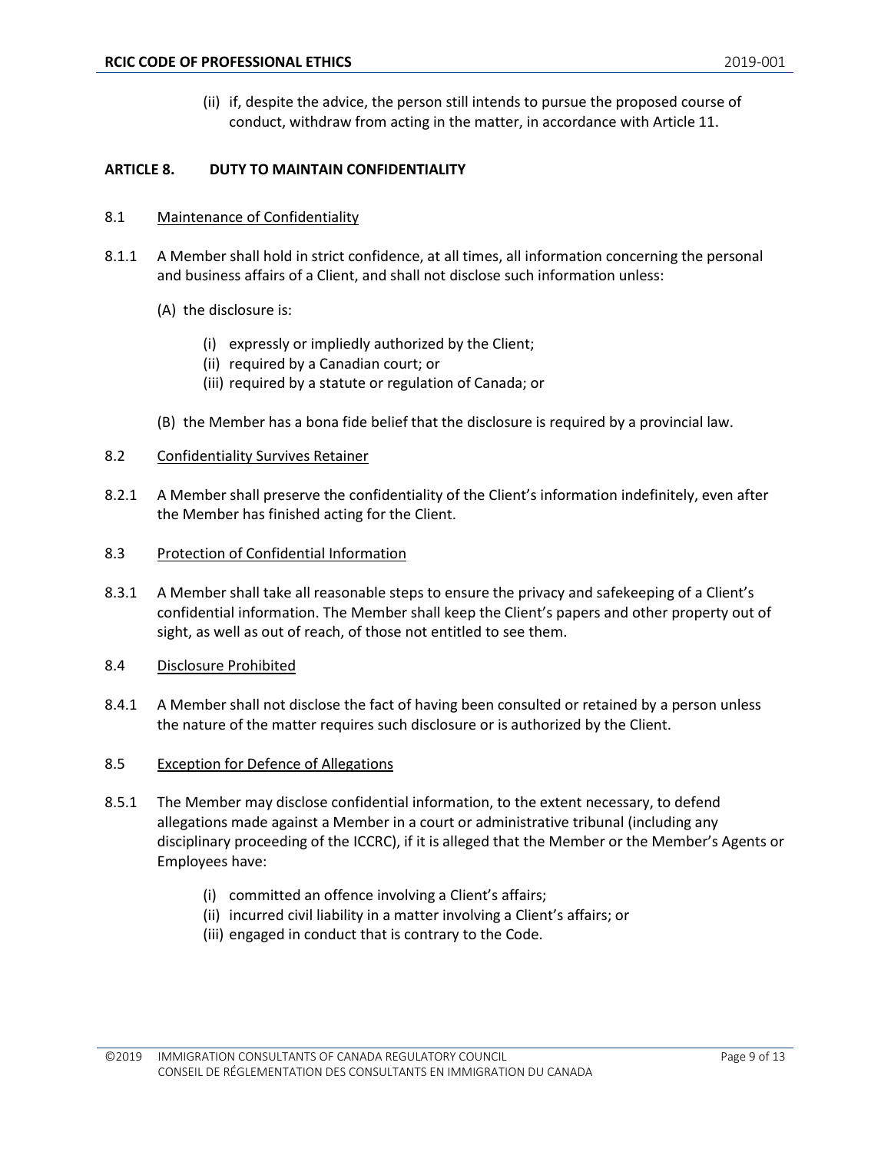(ii) if, despite the advice, the person still intends to pursue the proposed course of conduct, withdraw from acting in the matter, in accordance with Article 11.

# <span id="page-8-0"></span>**ARTICLE 8. DUTY TO MAINTAIN CONFIDENTIALITY**

#### <span id="page-8-1"></span>8.1 Maintenance of Confidentiality

- 8.1.1 A Member shall hold in strict confidence, at all times, all information concerning the personal and business affairs of a Client, and shall not disclose such information unless:
	- (A) the disclosure is:
		- (i) expressly or impliedly authorized by the Client;
		- (ii) required by a Canadian court; or
		- (iii) required by a statute or regulation of Canada; or
	- (B) the Member has a bona fide belief that the disclosure is required by a provincial law.
- <span id="page-8-2"></span>8.2 Confidentiality Survives Retainer
- 8.2.1 A Member shall preserve the confidentiality of the Client's information indefinitely, even after the Member has finished acting for the Client.
- <span id="page-8-3"></span>8.3 Protection of Confidential Information
- 8.3.1 A Member shall take all reasonable steps to ensure the privacy and safekeeping of a Client's confidential information. The Member shall keep the Client's papers and other property out of sight, as well as out of reach, of those not entitled to see them.
- <span id="page-8-4"></span>8.4 Disclosure Prohibited
- 8.4.1 A Member shall not disclose the fact of having been consulted or retained by a person unless the nature of the matter requires such disclosure or is authorized by the Client.
- <span id="page-8-5"></span>8.5 Exception for Defence of Allegations
- 8.5.1 The Member may disclose confidential information, to the extent necessary, to defend allegations made against a Member in a court or administrative tribunal (including any disciplinary proceeding of the ICCRC), if it is alleged that the Member or the Member's Agents or Employees have:
	- (i) committed an offence involving a Client's affairs;
	- (ii) incurred civil liability in a matter involving a Client's affairs; or
	- (iii) engaged in conduct that is contrary to the Code.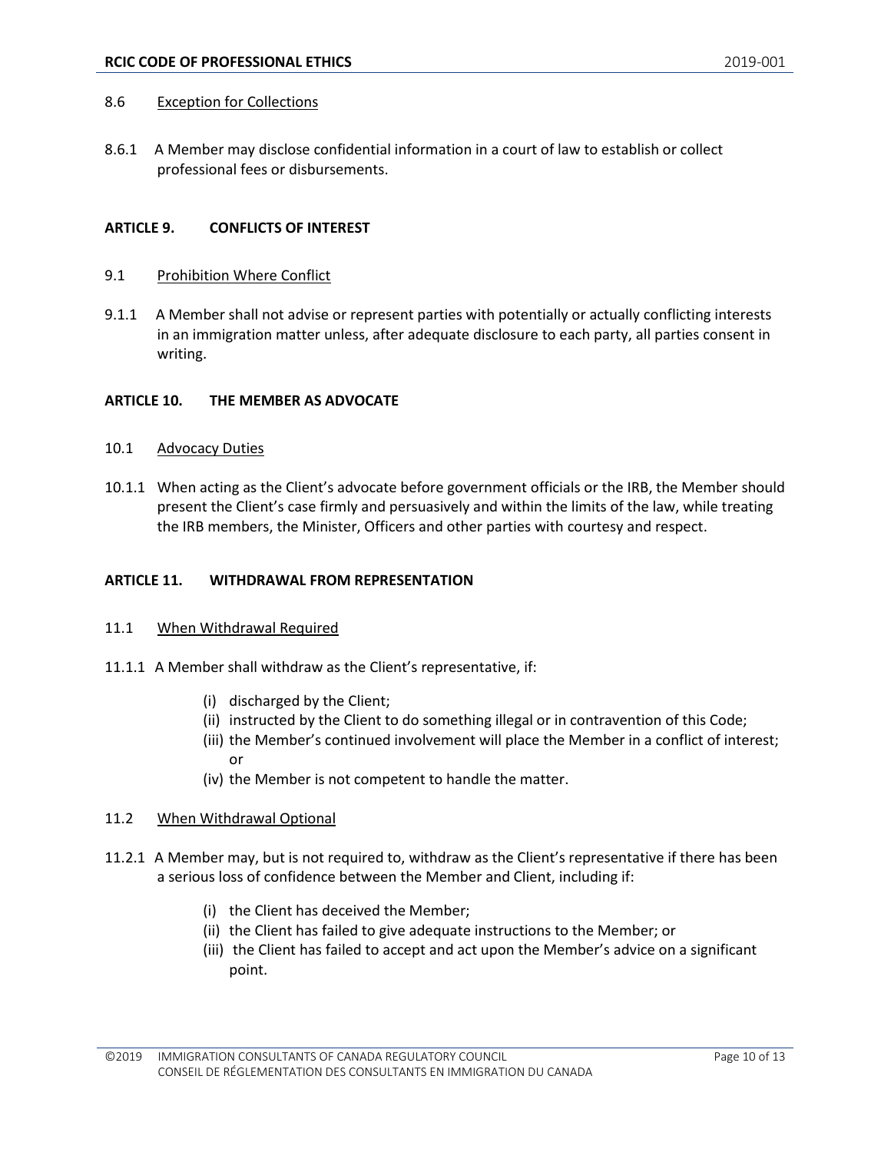#### <span id="page-9-0"></span>8.6 Exception for Collections

8.6.1 A Member may disclose confidential information in a court of law to establish or collect professional fees or disbursements.

#### <span id="page-9-1"></span>**ARTICLE 9. CONFLICTS OF INTEREST**

#### <span id="page-9-2"></span>9.1 Prohibition Where Conflict

9.1.1 A Member shall not advise or represent parties with potentially or actually conflicting interests in an immigration matter unless, after adequate disclosure to each party, all parties consent in writing.

#### <span id="page-9-3"></span>**ARTICLE 10. THE MEMBER AS ADVOCATE**

- <span id="page-9-4"></span>10.1 Advocacy Duties
- 10.1.1 When acting as the Client's advocate before government officials or the IRB, the Member should present the Client's case firmly and persuasively and within the limits of the law, while treating the IRB members, the Minister, Officers and other parties with courtesy and respect.

#### <span id="page-9-5"></span>**ARTICLE 11. WITHDRAWAL FROM REPRESENTATION**

#### <span id="page-9-6"></span>11.1 When Withdrawal Required

- 11.1.1 A Member shall withdraw as the Client's representative, if:
	- (i) discharged by the Client;
	- (ii) instructed by the Client to do something illegal or in contravention of this Code;
	- (iii) the Member's continued involvement will place the Member in a conflict of interest; or
	- (iv) the Member is not competent to handle the matter.

#### <span id="page-9-7"></span>11.2 When Withdrawal Optional

- 11.2.1 A Member may, but is not required to, withdraw as the Client's representative if there has been a serious loss of confidence between the Member and Client, including if:
	- (i) the Client has deceived the Member;
	- (ii) the Client has failed to give adequate instructions to the Member; or
	- (iii) the Client has failed to accept and act upon the Member's advice on a significant point.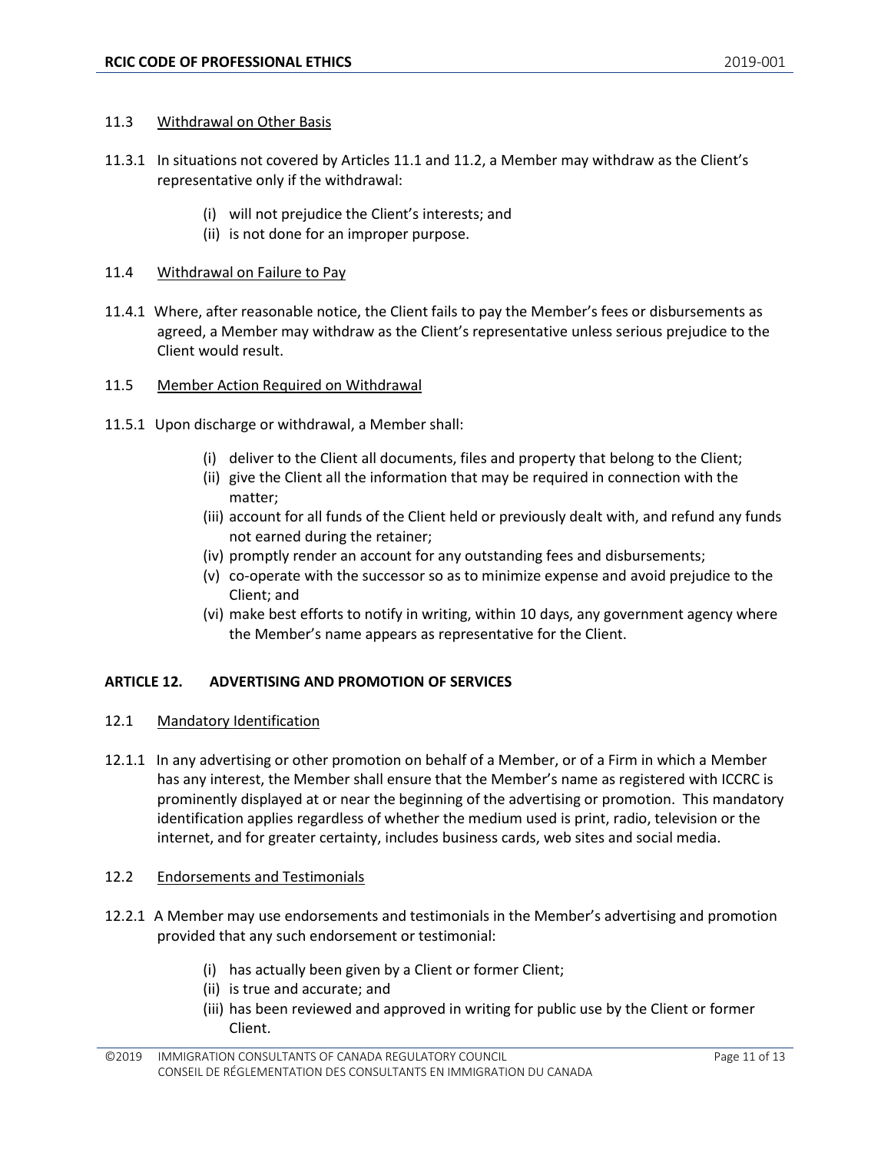#### <span id="page-10-0"></span>11.3 Withdrawal on Other Basis

- 11.3.1 In situations not covered by Articles 11.1 and 11.2, a Member may withdraw as the Client's representative only if the withdrawal:
	- (i) will not prejudice the Client's interests; and
	- (ii) is not done for an improper purpose.

# <span id="page-10-1"></span>11.4 Withdrawal on Failure to Pay

- 11.4.1 Where, after reasonable notice, the Client fails to pay the Member's fees or disbursements as agreed, a Member may withdraw as the Client's representative unless serious prejudice to the Client would result.
- <span id="page-10-2"></span>11.5 Member Action Required on Withdrawal
- 11.5.1 Upon discharge or withdrawal, a Member shall:
	- (i) deliver to the Client all documents, files and property that belong to the Client;
	- (ii) give the Client all the information that may be required in connection with the matter;
	- (iii) account for all funds of the Client held or previously dealt with, and refund any funds not earned during the retainer;
	- (iv) promptly render an account for any outstanding fees and disbursements;
	- (v) co-operate with the successor so as to minimize expense and avoid prejudice to the Client; and
	- (vi) make best efforts to notify in writing, within 10 days, any government agency where the Member's name appears as representative for the Client.

# <span id="page-10-3"></span>**ARTICLE 12. ADVERTISING AND PROMOTION OF SERVICES**

#### <span id="page-10-4"></span>12.1 Mandatory Identification

12.1.1 In any advertising or other promotion on behalf of a Member, or of a Firm in which a Member has any interest, the Member shall ensure that the Member's name as registered with ICCRC is prominently displayed at or near the beginning of the advertising or promotion. This mandatory identification applies regardless of whether the medium used is print, radio, television or the internet, and for greater certainty, includes business cards, web sites and social media.

#### <span id="page-10-5"></span>12.2 Endorsements and Testimonials

- 12.2.1 A Member may use endorsements and testimonials in the Member's advertising and promotion provided that any such endorsement or testimonial:
	- (i) has actually been given by a Client or former Client;
	- (ii) is true and accurate; and
	- (iii) has been reviewed and approved in writing for public use by the Client or former Client.

<sup>©2019</sup> IMMIGRATION CONSULTANTS OF CANADA REGULATORY COUNCIL CONSEIL DE RÉGLEMENTATION DES CONSULTANTS EN IMMIGRATION DU CANADA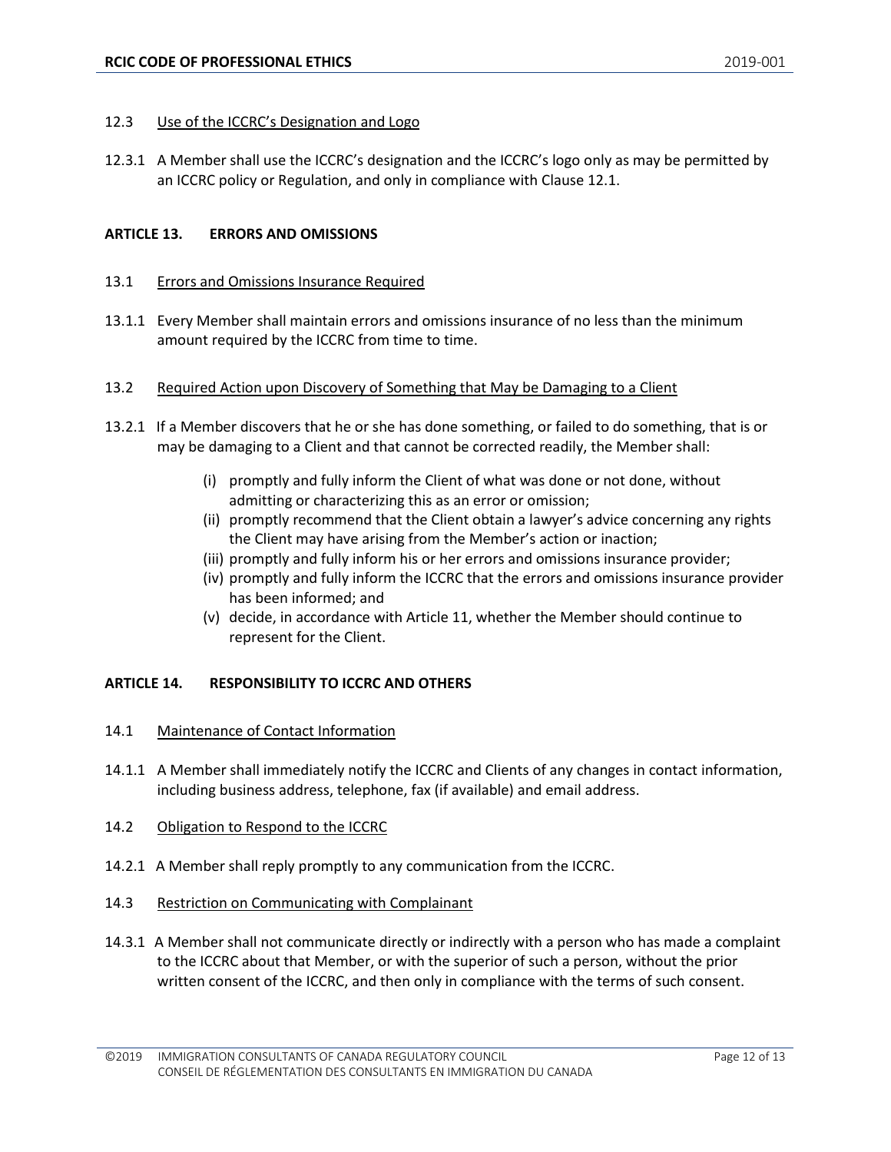#### <span id="page-11-0"></span>12.3 Use of the ICCRC's Designation and Logo

12.3.1 A Member shall use the ICCRC's designation and the ICCRC's logo only as may be permitted by an ICCRC policy or Regulation, and only in compliance with Clause 12.1.

#### <span id="page-11-1"></span>**ARTICLE 13. ERRORS AND OMISSIONS**

#### <span id="page-11-2"></span>13.1 Errors and Omissions Insurance Required

- 13.1.1 Every Member shall maintain errors and omissions insurance of no less than the minimum amount required by the ICCRC from time to time.
- <span id="page-11-3"></span>13.2 Required Action upon Discovery of Something that May be Damaging to a Client
- 13.2.1 If a Member discovers that he or she has done something, or failed to do something, that is or may be damaging to a Client and that cannot be corrected readily, the Member shall:
	- (i) promptly and fully inform the Client of what was done or not done, without admitting or characterizing this as an error or omission;
	- (ii) promptly recommend that the Client obtain a lawyer's advice concerning any rights the Client may have arising from the Member's action or inaction;
	- (iii) promptly and fully inform his or her errors and omissions insurance provider;
	- (iv) promptly and fully inform the ICCRC that the errors and omissions insurance provider has been informed; and
	- (v) decide, in accordance with Article 11, whether the Member should continue to represent for the Client.

#### <span id="page-11-4"></span>**ARTICLE 14. RESPONSIBILITY TO ICCRC AND OTHERS**

- <span id="page-11-5"></span>14.1 Maintenance of Contact Information
- 14.1.1 A Member shall immediately notify the ICCRC and Clients of any changes in contact information, including business address, telephone, fax (if available) and email address.
- <span id="page-11-6"></span>14.2 Obligation to Respond to the ICCRC
- 14.2.1 A Member shall reply promptly to any communication from the ICCRC.
- <span id="page-11-7"></span>14.3 Restriction on Communicating with Complainant
- 14.3.1 A Member shall not communicate directly or indirectly with a person who has made a complaint to the ICCRC about that Member, or with the superior of such a person, without the prior written consent of the ICCRC, and then only in compliance with the terms of such consent.